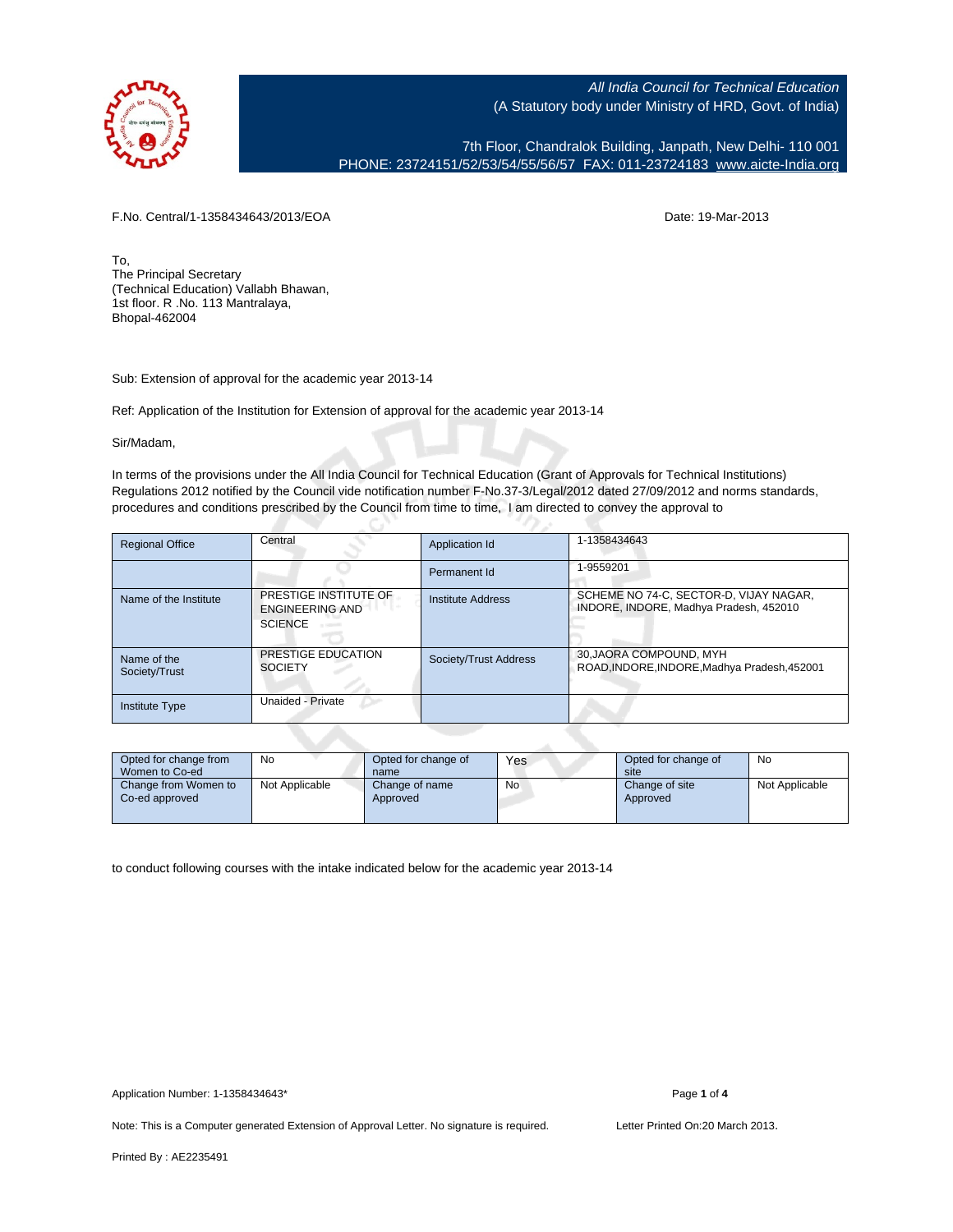

7th Floor, Chandralok Building, Janpath, New Delhi- 110 001 PHONE: 23724151/52/53/54/55/56/57 FAX: 011-23724183 [www.aicte-India.org](http://www.aicte-India.org)

F.No. Central/1-1358434643/2013/EOA Date: 19-Mar-2013

To, The Principal Secretary (Technical Education) Vallabh Bhawan, 1st floor. R .No. 113 Mantralaya, Bhopal-462004

Sub: Extension of approval for the academic year 2013-14

Ref: Application of the Institution for Extension of approval for the academic year 2013-14

Sir/Madam,

In terms of the provisions under the All India Council for Technical Education (Grant of Approvals for Technical Institutions) Regulations 2012 notified by the Council vide notification number F-No.37-3/Legal/2012 dated 27/09/2012 and norms standards, procedures and conditions prescribed by the Council from time to time, I am directed to convey the approval to

| <b>Regional Office</b>       | Central                                                           | Application Id           | 1-1358434643                                                                     |
|------------------------------|-------------------------------------------------------------------|--------------------------|----------------------------------------------------------------------------------|
|                              |                                                                   | Permanent Id             | 1-9559201                                                                        |
| Name of the Institute        | PRESTIGE INSTITUTE OF<br><b>ENGINEERING AND</b><br><b>SCIENCE</b> | <b>Institute Address</b> | SCHEME NO 74-C, SECTOR-D, VIJAY NAGAR,<br>INDORE, INDORE, Madhya Pradesh, 452010 |
| Name of the<br>Society/Trust | PRESTIGE EDUCATION<br><b>SOCIETY</b>                              | Society/Trust Address    | 30, JAORA COMPOUND, MYH<br>ROAD, INDORE, INDORE, Madhya Pradesh, 452001          |
| <b>Institute Type</b>        | Unaided - Private                                                 |                          |                                                                                  |

| Opted for change from<br>Women to Co-ed | No             | Opted for change of<br>name | Yes | Opted for change of<br>site | No             |  |
|-----------------------------------------|----------------|-----------------------------|-----|-----------------------------|----------------|--|
| Change from Women to<br>Co-ed approved  | Not Applicable | Change of name<br>Approved  | No  | Change of site<br>Approved  | Not Applicable |  |

to conduct following courses with the intake indicated below for the academic year 2013-14

Note: This is a Computer generated Extension of Approval Letter. No signature is required. Letter Printed On:20 March 2013.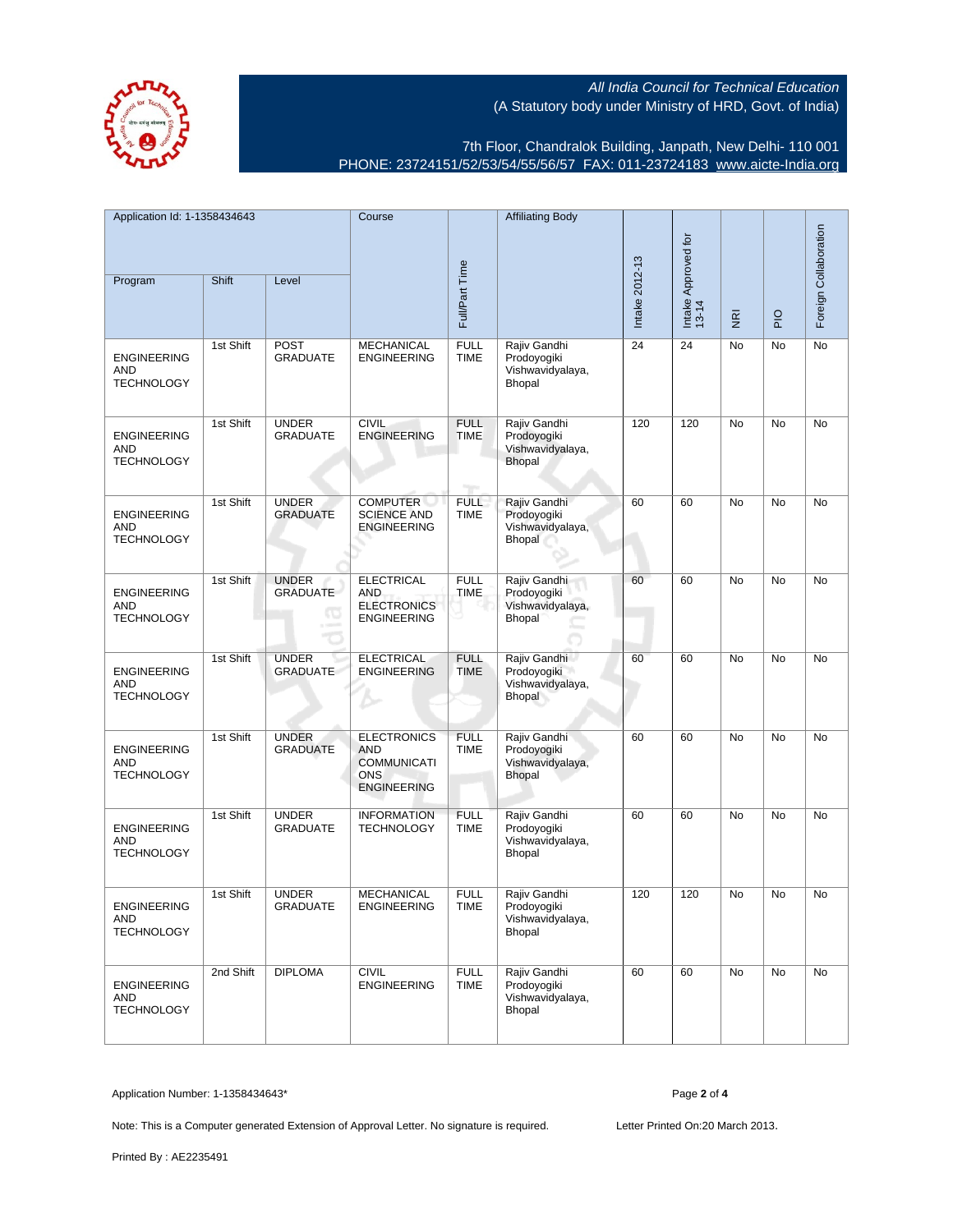7th Floor, Chandralok Building, Janpath, New Delhi- 110 001 PHONE: 23724151/52/53/54/55/56/57 FAX: 011-23724183 [www.aicte-India.org](http://www.aicte-India.org)

| Application Id: 1-1358434643                          |           | Course                               |                                                                                            | <b>Affiliating Body</b>            |                                                                  | Intake Approved for<br>13-14 |                                     |               | Foreign Collaboration |           |
|-------------------------------------------------------|-----------|--------------------------------------|--------------------------------------------------------------------------------------------|------------------------------------|------------------------------------------------------------------|------------------------------|-------------------------------------|---------------|-----------------------|-----------|
| Program                                               | Shift     | Level                                | Full/Part Time                                                                             |                                    | Intake 2012-13                                                   |                              | $\overline{\underline{\mathbf{g}}}$ | $\frac{1}{2}$ |                       |           |
| <b>ENGINEERING</b><br><b>AND</b><br><b>TECHNOLOGY</b> | 1st Shift | <b>POST</b><br><b>GRADUATE</b>       | <b>MECHANICAL</b><br><b>ENGINEERING</b>                                                    | <b>FULL</b><br><b>TIME</b>         | Rajiv Gandhi<br>Prodoyogiki<br>Vishwavidyalaya,<br>Bhopal        | 24                           | 24                                  | No            | No                    | No        |
| <b>ENGINEERING</b><br><b>AND</b><br><b>TECHNOLOGY</b> | 1st Shift | <b>UNDER</b><br><b>GRADUATE</b>      | <b>CIVIL</b><br><b>ENGINEERING</b>                                                         | <b>FULL</b><br><b>TIME</b><br>ngan | Rajiv Gandhi<br>Prodoyogiki<br>Vishwavidyalaya,<br><b>Bhopal</b> | 120                          | 120                                 | No            | No                    | No        |
| <b>ENGINEERING</b><br><b>AND</b><br><b>TECHNOLOGY</b> | 1st Shift | <b>UNDER</b><br><b>GRADUATE</b>      | <b>COMPUTER</b><br><b>SCIENCE AND</b><br><b>ENGINEERING</b>                                | <b>FULL</b><br><b>TIME</b>         | Rajiv Gandhi<br>Prodoyogiki<br>Vishwavidyalaya,<br>Bhopal        | 60                           | 60                                  | No            | <b>No</b>             | No        |
| <b>ENGINEERING</b><br><b>AND</b><br><b>TECHNOLOGY</b> | 1st Shift | <b>UNDER</b><br><b>GRADUATE</b><br>Œ | <b>ELECTRICAL</b><br><b>AND</b><br><b>ELECTRONICS</b><br><b>ENGINEERING</b>                | <b>FULL</b><br><b>TIME</b>         | Rajiv Gandhi<br>Prodoyogiki<br>Vishwavidyalaya,<br>Bhopal        | 60                           | 60                                  | No            | No                    | No        |
| <b>ENGINEERING</b><br><b>AND</b><br><b>TECHNOLOGY</b> | 1st Shift | <b>UNDER</b><br><b>GRADUATE</b>      | <b>ELECTRICAL</b><br><b>ENGINEERING</b>                                                    | <b>FULL</b><br><b>TIME</b>         | Rajiv Gandhi<br>Prodoyogiki<br>Vishwavidyalaya,<br>Bhopal        | 60                           | 60                                  | No            | No                    | No        |
| <b>ENGINEERING</b><br>AND<br><b>TECHNOLOGY</b>        | 1st Shift | <b>UNDER</b><br><b>GRADUATE</b>      | <b>ELECTRONICS</b><br><b>AND</b><br><b>COMMUNICATI</b><br><b>ONS</b><br><b>ENGINEERING</b> | <b>FULL</b><br><b>TIME</b>         | Rajiv Gandhi<br>Prodoyogiki<br>Vishwavidyalaya,<br>Bhopal        | 60                           | 60                                  | No            | No                    | No        |
| <b>ENGINEERING</b><br><b>AND</b><br><b>TECHNOLOGY</b> | 1st Shift | <b>UNDER</b><br><b>GRADUATE</b>      | <b>INFORMATION</b><br><b>TECHNOLOGY</b>                                                    | <b>FULL</b><br><b>TIME</b>         | Rajiv Gandhi<br>Prodoyogiki<br>Vishwavidyalaya,<br>Bhopal        | 60                           | 60                                  | No            | No                    | No        |
| <b>ENGINEERING</b><br>AND<br><b>TECHNOLOGY</b>        | 1st Shift | <b>UNDER</b><br><b>GRADUATE</b>      | <b>MECHANICAL</b><br><b>ENGINEERING</b>                                                    | <b>FULL</b><br><b>TIME</b>         | Rajiv Gandhi<br>Prodoyogiki<br>Vishwavidyalaya,<br>Bhopal        | 120                          | 120                                 | No            | <b>No</b>             | <b>No</b> |
| <b>ENGINEERING</b><br>AND<br><b>TECHNOLOGY</b>        | 2nd Shift | <b>DIPLOMA</b>                       | <b>CIVIL</b><br><b>ENGINEERING</b>                                                         | <b>FULL</b><br><b>TIME</b>         | Rajiv Gandhi<br>Prodoyogiki<br>Vishwavidyalaya,<br>Bhopal        | 60                           | 60                                  | No            | No                    | No        |

Application Number: 1-1358434643\* Page **2** of **4**

Note: This is a Computer generated Extension of Approval Letter. No signature is required. Letter Printed On:20 March 2013.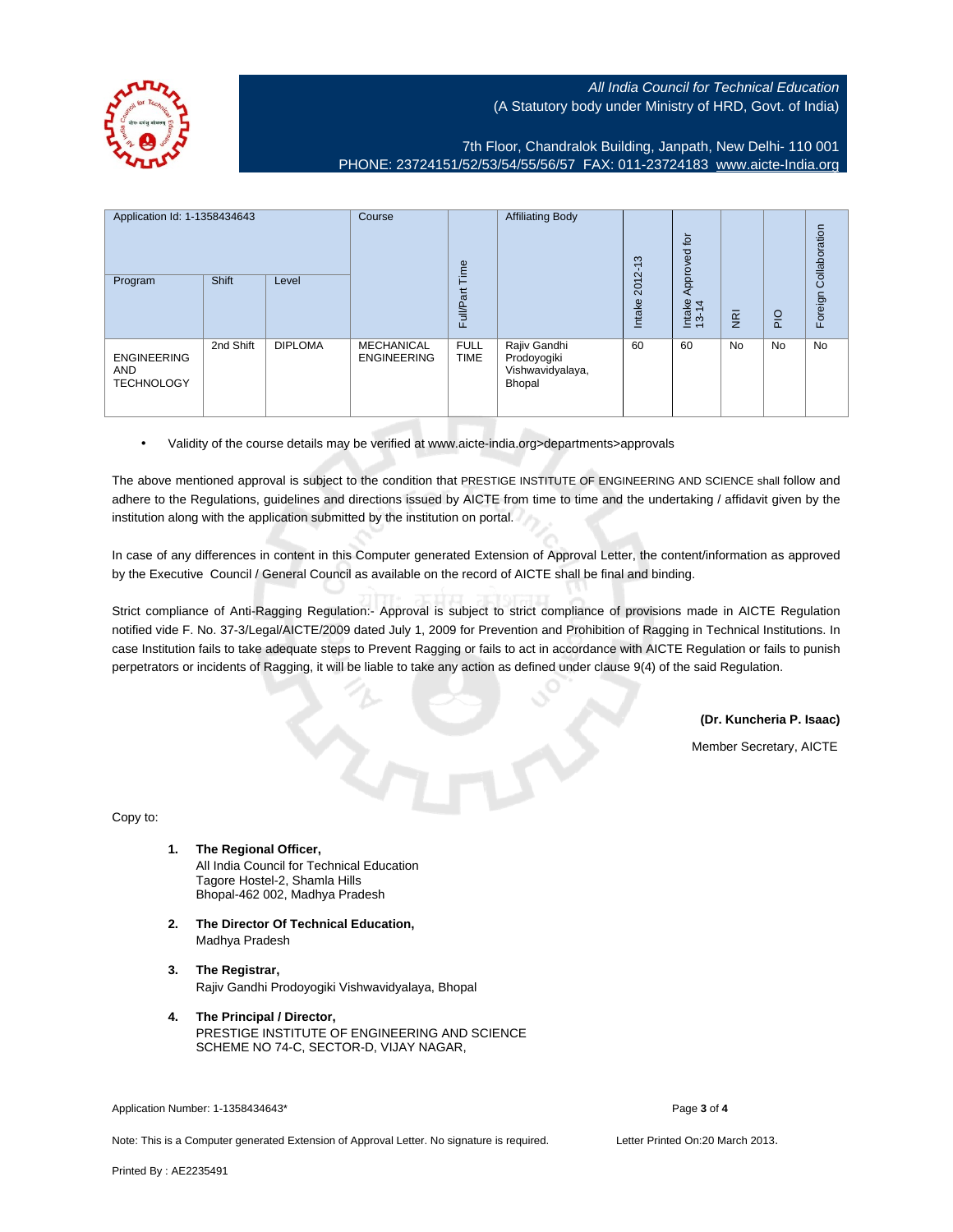

7th Floor, Chandralok Building, Janpath, New Delhi- 110 001 PHONE: 23724151/52/53/54/55/56/57 FAX: 011-23724183 [www.aicte-India.org](http://www.aicte-India.org)

| Application Id: 1-1358434643<br>Shift<br>Level<br>Program |           | Course<br>Time | <b>Affiliating Body</b>          | S<br>$\overline{\phantom{0}}$<br>2012- | $\overline{5}$<br>Approved                                |        |                 | Collaboration  |             |         |
|-----------------------------------------------------------|-----------|----------------|----------------------------------|----------------------------------------|-----------------------------------------------------------|--------|-----------------|----------------|-------------|---------|
|                                                           |           |                |                                  | Full/Part                              |                                                           | Intake | Intake<br>13-14 | $\overline{g}$ | $rac{O}{P}$ | Foreign |
| <b>ENGINEERING</b><br><b>AND</b><br><b>TECHNOLOGY</b>     | 2nd Shift | <b>DIPLOMA</b> | MECHANICAL<br><b>ENGINEERING</b> | <b>FULL</b><br><b>TIME</b>             | Rajiv Gandhi<br>Prodoyogiki<br>Vishwavidyalaya,<br>Bhopal | 60     | 60              | <b>No</b>      | No          | No      |

• Validity of the course details may be verified at www.aicte-india.org>departments>approvals

The above mentioned approval is subject to the condition that PRESTIGE INSTITUTE OF ENGINEERING AND SCIENCE shall follow and adhere to the Regulations, guidelines and directions issued by AICTE from time to time and the undertaking / affidavit given by the institution along with the application submitted by the institution on portal.

In case of any differences in content in this Computer generated Extension of Approval Letter, the content/information as approved by the Executive Council / General Council as available on the record of AICTE shall be final and binding.

Strict compliance of Anti-Ragging Regulation:- Approval is subject to strict compliance of provisions made in AICTE Regulation notified vide F. No. 37-3/Legal/AICTE/2009 dated July 1, 2009 for Prevention and Prohibition of Ragging in Technical Institutions. In case Institution fails to take adequate steps to Prevent Ragging or fails to act in accordance with AICTE Regulation or fails to punish perpetrators or incidents of Ragging, it will be liable to take any action as defined under clause 9(4) of the said Regulation.

**(Dr. Kuncheria P. Isaac)**

Member Secretary, AICTE

Copy to:

- **1. The Regional Officer,** All India Council for Technical Education Tagore Hostel-2, Shamla Hills Bhopal-462 002, Madhya Pradesh
- **2. The Director Of Technical Education,** Madhya Pradesh
- **3. The Registrar,** Rajiv Gandhi Prodoyogiki Vishwavidyalaya, Bhopal
- **4. The Principal / Director,** PRESTIGE INSTITUTE OF ENGINEERING AND SCIENCE SCHEME NO 74-C, SECTOR-D, VIJAY NAGAR,

Application Number: 1-1358434643\* Page **3** of **4**

Note: This is a Computer generated Extension of Approval Letter. No signature is required. Letter Printed On:20 March 2013.